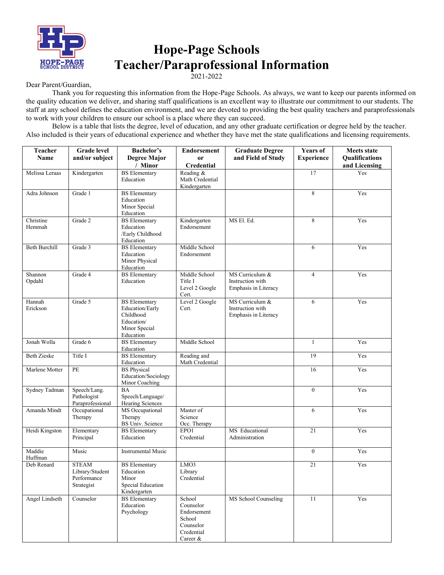

## **Hope-Page Schools Teacher/Paraprofessional Information**

2021-2022

Dear Parent/Guardian,

Thank you for requesting this information from the Hope-Page Schools. As always, we want to keep our parents informed on the quality education we deliver, and sharing staff qualifications is an excellent way to illustrate our commitment to our students. The staff at any school defines the education environment, and we are devoted to providing the best quality teachers and paraprofessionals to work with your children to ensure our school is a place where they can succeed.

Below is a table that lists the degree, level of education, and any other graduate certification or degree held by the teacher. Also included is their years of educational experience and whether they have met the state qualifications and licensing requirements.

| <b>Teacher</b>        | <b>Grade</b> level               | <b>Bachelor's</b>                          | <b>Endorsement</b>              | <b>Graduate Degree</b> | <b>Years of</b>   | <b>Meets state</b>    |
|-----------------------|----------------------------------|--------------------------------------------|---------------------------------|------------------------|-------------------|-----------------------|
| Name                  | and/or subject                   | <b>Degree Major</b><br>/ Minor             | 0r<br><b>Credential</b>         | and Field of Study     | <b>Experience</b> | <b>Oualifications</b> |
| Melissa Leraas        | Kindergarten                     | <b>BS</b> Elementary                       | Reading &                       |                        | 17                | and Licensing<br>Yes  |
|                       |                                  | Education                                  | Math Credential<br>Kindergarten |                        |                   |                       |
| Adra Johnson          | Grade 1                          | <b>BS</b> Elementary                       |                                 |                        | 8                 | Yes                   |
|                       |                                  | Education                                  |                                 |                        |                   |                       |
|                       |                                  | Minor Special<br>Education                 |                                 |                        |                   |                       |
| Christine             | Grade 2                          | <b>BS</b> Elementary                       | Kindergarten                    | MS El. Ed.             | 8                 | Yes                   |
| Hemmah                |                                  | Education<br>/Early Childhood              | Endorsement                     |                        |                   |                       |
|                       |                                  | Education                                  |                                 |                        |                   |                       |
| <b>Beth Burchill</b>  | Grade 3                          | <b>BS</b> Elementary                       | Middle School                   |                        | 6                 | Yes                   |
|                       |                                  | Education<br>Minor Physical                | Endorsement                     |                        |                   |                       |
|                       |                                  | Education                                  |                                 |                        |                   |                       |
| Shannon               | Grade 4                          | <b>BS</b> Elementary                       | Middle School                   | MS Curriculum &        | $\overline{4}$    | Yes                   |
| Opdahl                |                                  | Education                                  | Title I                         | Instruction with       |                   |                       |
|                       |                                  |                                            | Level 2 Google<br>Cert.         | Emphasis in Literacy   |                   |                       |
| Hannah                | Grade 5                          | <b>BS</b> Elementary                       | Level 2 Google                  | MS Curriculum &        | 6                 | Yes                   |
| Erickson              |                                  | Education/Early<br>Childhood               | Cert.                           | Instruction with       |                   |                       |
|                       |                                  | Education/                                 |                                 | Emphasis in Literacy   |                   |                       |
|                       |                                  | Minor Special                              |                                 |                        |                   |                       |
|                       |                                  | Education                                  |                                 |                        |                   |                       |
| Jonah Wolla           | Grade 6                          | <b>BS</b> Elementary<br>Education          | Middle School                   |                        | $\mathbf{1}$      | Yes                   |
| <b>Beth Zieske</b>    | Title I                          | <b>BS</b> Elementary                       | Reading and                     |                        | 19                | Yes                   |
|                       |                                  | Education                                  | Math Credential                 |                        |                   |                       |
| Marlene Motter        | PE                               | <b>BS</b> Physical                         |                                 |                        | 16                | Yes                   |
|                       |                                  | Education/Sociology<br>Minor Coaching      |                                 |                        |                   |                       |
| Sydney Tadman         | Speech/Lang.                     | <b>BA</b>                                  |                                 |                        | $\mathbf{0}$      | Yes                   |
|                       | Pathologist                      | Speech/Language/                           |                                 |                        |                   |                       |
| Amanda Mindt          | Paraprofessional<br>Occupational | Hearing Sciences<br><b>MS</b> Occupational | Master of                       |                        | 6                 | Yes                   |
|                       | Therapy                          | Therapy                                    | Science                         |                        |                   |                       |
|                       |                                  | <b>BS Univ. Science</b>                    | Occ. Therapy                    |                        |                   |                       |
| Heidi Kingston        | Elementary                       | <b>BS</b> Elementary                       | EPO1                            | MS Educational         | 21                | Yes                   |
|                       | Principal                        | Education                                  | Credential                      | Administration         |                   |                       |
| Maddie<br>Huffman     | Music                            | <b>Instrumental Music</b>                  |                                 |                        | $\boldsymbol{0}$  | Yes                   |
| Deb Renard            | <b>STEAM</b>                     | <b>BS</b> Elementary                       | LMO3                            |                        | 21                | Yes                   |
|                       | Library/Student                  | Education                                  | Library                         |                        |                   |                       |
|                       | Performance<br>Strategist        | Minor<br>Special Education                 | Credential                      |                        |                   |                       |
|                       |                                  | Kindergarten                               |                                 |                        |                   |                       |
| <b>Angel Lindseth</b> | Counselor                        | <b>BS</b> Elementary                       | School                          | MS School Counseling   | 11                | Yes                   |
|                       |                                  | Education<br>Psychology                    | Counselor<br>Endorsement        |                        |                   |                       |
|                       |                                  |                                            | School                          |                        |                   |                       |
|                       |                                  |                                            | Counselor                       |                        |                   |                       |
|                       |                                  |                                            | Credential                      |                        |                   |                       |
|                       |                                  |                                            | Career &                        |                        |                   |                       |